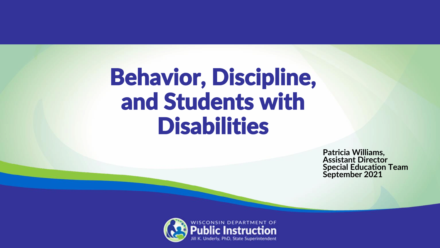### Behavior, Discipline, and Students with **Disabilities**

**Patricia Williams, Assistant Director Special Education Team September 2021**

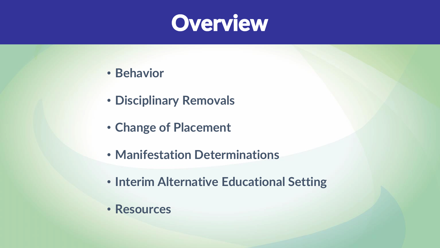

- **Behavior**
- **Disciplinary Removals**
- **Change of Placement**
- **Manifestation Determinations**
- **Interim Alternative Educational Setting**
- **Resources**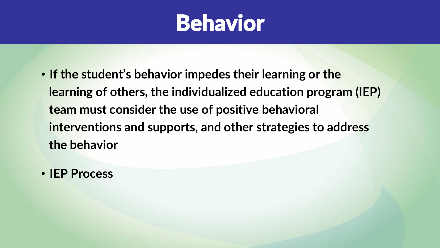

- **If the student's behavior impedes their learning or the learning of others, the individualized education program (IEP) team must consider the use of positive behavioral interventions and supports, and other strategies to address the behavior**
- **IEP Process**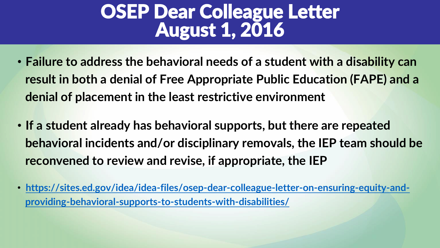### OSEP Dear Colleague Letter August 1, 2016

- **Failure to address the behavioral needs of a student with a disability can result in both a denial of Free Appropriate Public Education (FAPE) and a denial of placement in the least restrictive environment**
- **If a student already has behavioral supports, but there are repeated behavioral incidents and/or disciplinary removals, the IEP team should be reconvened to review and revise, if appropriate, the IEP**
- **[https://sites.ed.gov/idea/idea-files/osep-dear-colleague-letter-on-ensuring-equity-and](https://sites.ed.gov/idea/idea-files/osep-dear-colleague-letter-on-ensuring-equity-and-providing-behavioral-supports-to-students-with-disabilities/)providing-behavioral-supports-to-students-with-disabilities/**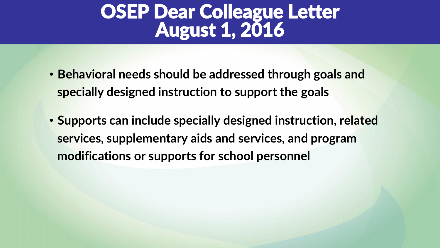### OSEP Dear Colleague Letter August 1, 2016

- **Behavioral needs should be addressed through goals and specially designed instruction to support the goals**
- **Supports can include specially designed instruction, related services, supplementary aids and services, and program modifications or supports for school personnel**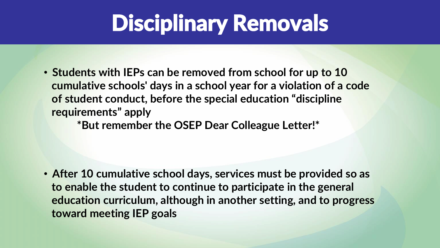## Disciplinary Removals

• **Students with IEPs can be removed from school for up to 10 cumulative schools' days in a school year for a violation of a code of student conduct, before the special education "discipline requirements" apply** 

**\*But remember the OSEP Dear Colleague Letter!\***

• **After 10 cumulative school days, services must be provided so as to enable the student to continue to participate in the general education curriculum, although in another setting, and to progress toward meeting IEP goals**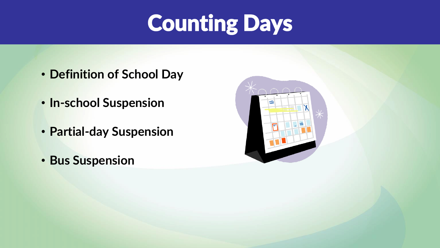# Counting Days

- **Definition of School Day**
- **In-school Suspension**
- **Partial-day Suspension**
- **Bus Suspension**

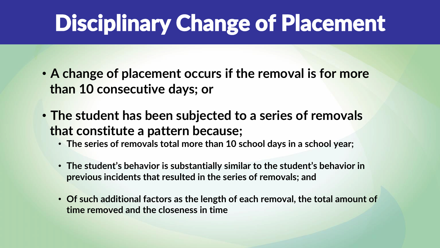# Disciplinary Change of Placement

- **A change of placement occurs if the removal is for more than 10 consecutive days; or**
- **The student has been subjected to a series of removals that constitute a pattern because;**
	- **The series of removals total more than 10 school days in a school year;**
	- **The student's behavior is substantially similar to the student's behavior in previous incidents that resulted in the series of removals; and**
	- **Of such additional factors as the length of each removal, the total amount of time removed and the closeness in time**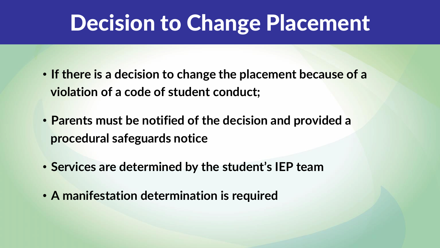### Decision to Change Placement

- **If there is a decision to change the placement because of a violation of a code of student conduct;**
- **Parents must be notified of the decision and provided a procedural safeguards notice**
- **Services are determined by the student's IEP team**
- **A manifestation determination is required**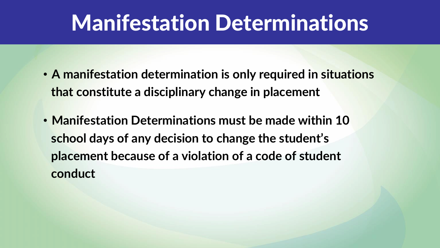### Manifestation Determinations

- **A manifestation determination is only required in situations that constitute a disciplinary change in placement**
- **Manifestation Determinations must be made within 10 school days of any decision to change the student's placement because of a violation of a code of student conduct**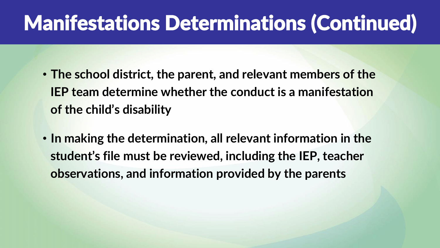### Manifestations Determinations (Continued)

- **The school district, the parent, and relevant members of the IEP team determine whether the conduct is a manifestation of the child's disability**
- **In making the determination, all relevant information in the student's file must be reviewed, including the IEP, teacher observations, and information provided by the parents**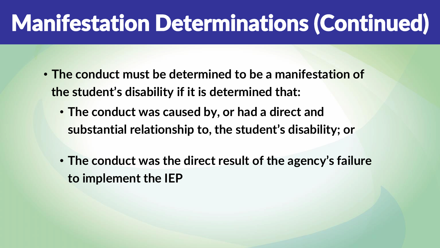# Manifestation Determinations (Continued)

- **The conduct must be determined to be a manifestation of the student's disability if it is determined that:**
	- **The conduct was caused by, or had a direct and substantial relationship to, the student's disability; or**
	- **The conduct was the direct result of the agency's failure to implement the IEP**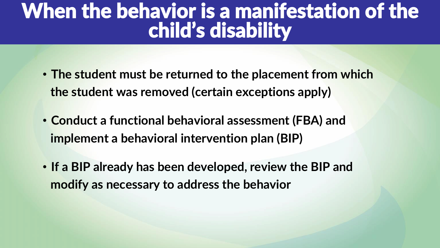### When the behavior is a manifestation of the child's disability

- **The student must be returned to the placement from which the student was removed (certain exceptions apply)**
- **Conduct a functional behavioral assessment (FBA) and implement a behavioral intervention plan (BIP)**
- **If a BIP already has been developed, review the BIP and modify as necessary to address the behavior**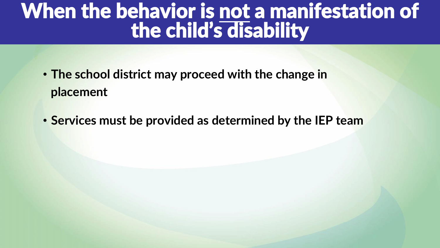### When the behavior is not a manifestation of the child's disability

- **The school district may proceed with the change in placement**
- **Services must be provided as determined by the IEP team**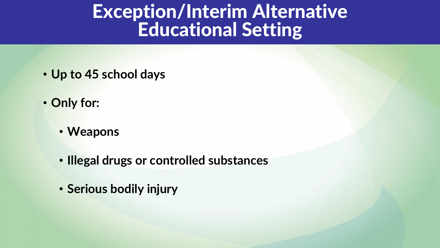#### Exception/Interim Alternative Educational Setting

- **Up to 45 school days**
- **Only for:**
	- **Weapons**
	- **Illegal drugs or controlled substances**
	- **Serious bodily injury**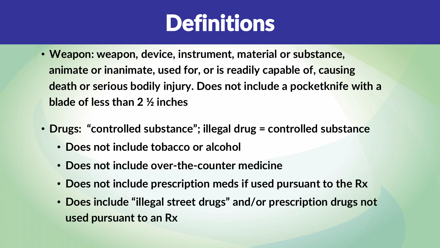### **Definitions**

- **Weapon: weapon, device, instrument, material or substance, animate or inanimate, used for, or is readily capable of, causing death or serious bodily injury. Does not include a pocketknife with a blade of less than 2 ½ inches**
- **Drugs: "controlled substance"; illegal drug = controlled substance**
	- **Does not include tobacco or alcohol**
	- **Does not include over-the-counter medicine**
	- **Does not include prescription meds if used pursuant to the Rx**
	- **Does include "illegal street drugs" and/or prescription drugs not used pursuant to an Rx**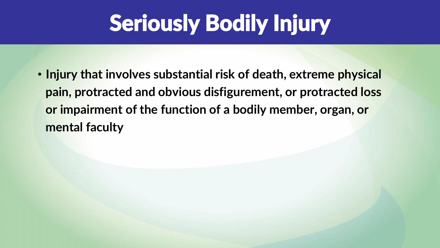# Seriously Bodily Injury

• **Injury that involves substantial risk of death, extreme physical pain, protracted and obvious disfigurement, or protracted loss or impairment of the function of a bodily member, organ, or mental faculty**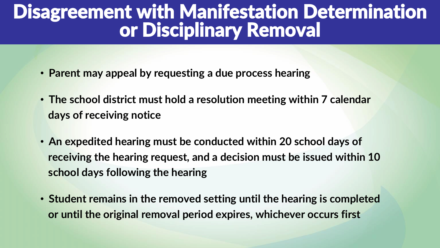#### Disagreement with Manifestation Determination or Disciplinary Removal

- **Parent may appeal by requesting a due process hearing**
- **The school district must hold a resolution meeting within 7 calendar days of receiving notice**
- **An expedited hearing must be conducted within 20 school days of receiving the hearing request, and a decision must be issued within 10 school days following the hearing**
- **Student remains in the removed setting until the hearing is completed or until the original removal period expires, whichever occurs first**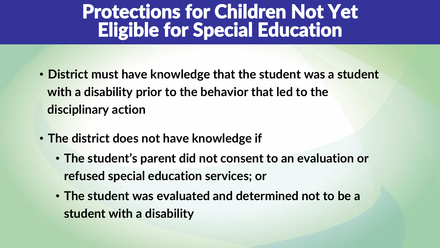### Protections for Children Not Yet Eligible for Special Education

- **District must have knowledge that the student was a student with a disability prior to the behavior that led to the disciplinary action**
- **The district does not have knowledge if**
	- **The student's parent did not consent to an evaluation or refused special education services; or**
	- **The student was evaluated and determined not to be a student with a disability**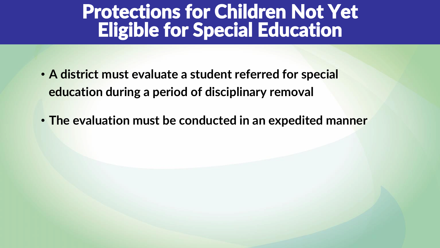#### Protections for Children Not Yet Eligible for Special Education

- **A district must evaluate a student referred for special education during a period of disciplinary removal**
- **The evaluation must be conducted in an expedited manner**